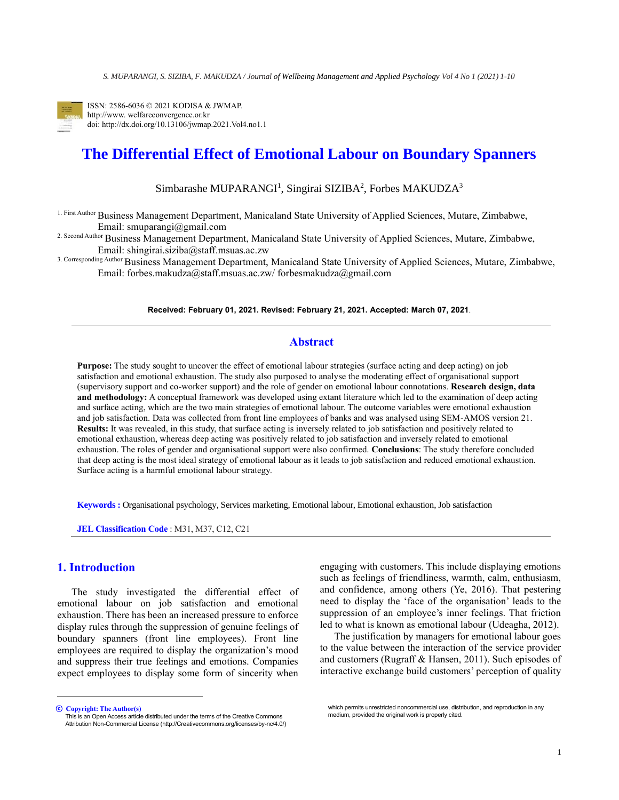

ISSN: 2586-6036 © 2021 KODISA & JWMAP. http://www. welfareconvergence.or.kr doi: http://dx.doi.org/10.13106/jwmap.2021.Vol4.no1.1

# **The Differential Effect of Emotional Labour on Boundary Spanners**

Simbarashe MUPARANGI<sup>1</sup>, Singirai SIZIBA<sup>2</sup>, Forbes MAKUDZA<sup>3</sup>

1. First Author Business Management Department, Manicaland State University of Applied Sciences, Mutare, Zimbabwe, Email: smuparangi@gmail.com

2. Second Author Business Management Department, Manicaland State University of Applied Sciences, Mutare, Zimbabwe, Email: [shingirai.siziba@staff.msuas.ac.zw](mailto:shingirai.siziba@staff.msuas.ac.zw)

3. Corresponding Author Business Management Department, Manicaland State University of Applied Sciences, Mutare, Zimbabwe, Email: [forbes.makudza@staff.msuas.ac.zw/](mailto:forbes.makudza@staff.msuas.ac.zw) forbesmakudza@gmail.com

**Received: February 01, 2021. Revised: February 21, 2021. Accepted: March 07, 2021**.

## **Abstract**

**Purpose:** The study sought to uncover the effect of emotional labour strategies (surface acting and deep acting) on job satisfaction and emotional exhaustion. The study also purposed to analyse the moderating effect of organisational support (supervisory support and co-worker support) and the role of gender on emotional labour connotations. **Research design, data and methodology:** A conceptual framework was developed using extant literature which led to the examination of deep acting and surface acting, which are the two main strategies of emotional labour. The outcome variables were emotional exhaustion and job satisfaction. Data was collected from front line employees of banks and was analysed using SEM-AMOS version 21. **Results:** It was revealed, in this study, that surface acting is inversely related to job satisfaction and positively related to emotional exhaustion, whereas deep acting was positively related to job satisfaction and inversely related to emotional exhaustion. The roles of gender and organisational support were also confirmed. **Conclusions**: The study therefore concluded that deep acting is the most ideal strategy of emotional labour as it leads to job satisfaction and reduced emotional exhaustion. Surface acting is a harmful emotional labour strategy.

**Keywords :** Organisational psychology, Services marketing, Emotional labour, Emotional exhaustion, Job satisfaction

**JEL Classification Code** : M31, M37, C12, C21

# **1. Introduction<sup>1</sup>**

The study investigated the differential effect of emotional labour on job satisfaction and emotional exhaustion. There has been an increased pressure to enforce display rules through the suppression of genuine feelings of boundary spanners (front line employees). Front line employees are required to display the organization's mood and suppress their true feelings and emotions. Companies expect employees to display some form of sincerity when engaging with customers. This include displaying emotions such as feelings of friendliness, warmth, calm, enthusiasm, and confidence, among others (Ye, 2016). That pestering need to display the 'face of the organisation' leads to the suppression of an employee's inner feelings. That friction led to what is known as emotional labour (Udeagha, 2012).

The justification by managers for emotional labour goes to the value between the interaction of the service provider and customers (Rugraff & Hansen, 2011). Such episodes of interactive exchange build customers' perception of quality

<sup>ⓒ</sup> **Copyright: The Author(s)** This is an Open Access article distributed under the terms of the Creative Commons Attribution Non-Commercial License (http://Creativecommons.org/licenses/by-nc/4.0/)

which permits unrestricted noncommercial use, distribution, and reproduction in any medium, provided the original work is properly cited.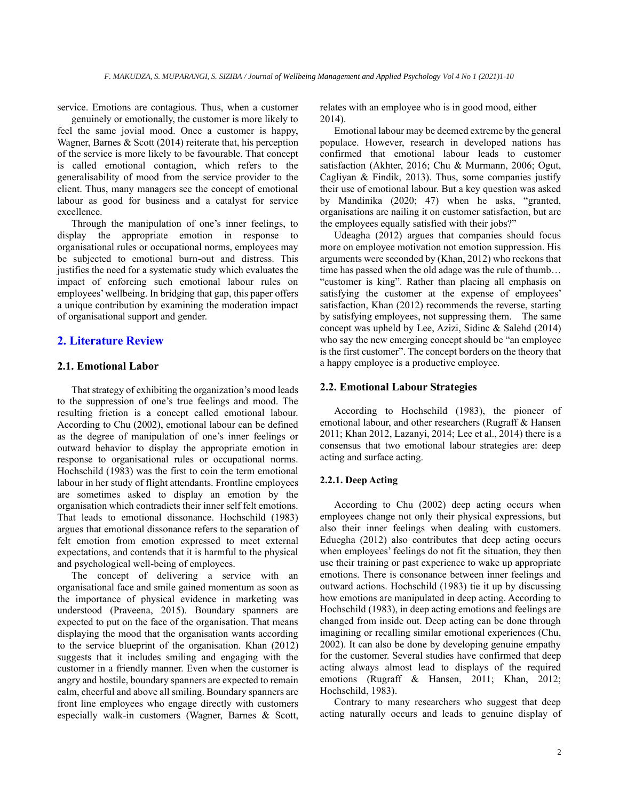genuinely or emotionally, the customer is more likely to feel the same jovial mood. Once a customer is happy, Wagner, Barnes & Scott (2014) reiterate that, his perception of the service is more likely to be favourable. That concept is called emotional contagion, which refers to the generalisability of mood from the service provider to the client. Thus, many managers see the concept of emotional labour as good for business and a catalyst for service excellence.

Through the manipulation of one's inner feelings, to display the appropriate emotion in response to organisational rules or occupational norms, employees may be subjected to emotional burn-out and distress. This justifies the need for a systematic study which evaluates the impact of enforcing such emotional labour rules on employees' wellbeing. In bridging that gap, this paper offers a unique contribution by examining the moderation impact of organisational support and gender.

## **2. Literature Review**

## **2.1. Emotional Labor**

That strategy of exhibiting the organization's mood leads to the suppression of one's true feelings and mood. The resulting friction is a concept called emotional labour. According to Chu (2002), emotional labour can be defined as the degree of manipulation of one's inner feelings or outward behavior to display the appropriate emotion in response to organisational rules or occupational norms. Hochschild (1983) was the first to coin the term emotional labour in her study of flight attendants. Frontline employees are sometimes asked to display an emotion by the organisation which contradicts their inner self felt emotions. That leads to emotional dissonance. Hochschild (1983) argues that emotional dissonance refers to the separation of felt emotion from emotion expressed to meet external expectations, and contends that it is harmful to the physical and psychological well-being of employees.

The concept of delivering a service with an organisational face and smile gained momentum as soon as the importance of physical evidence in marketing was understood (Praveena, 2015). Boundary spanners are expected to put on the face of the organisation. That means displaying the mood that the organisation wants according to the service blueprint of the organisation. Khan (2012) suggests that it includes smiling and engaging with the customer in a friendly manner. Even when the customer is angry and hostile, boundary spanners are expected to remain calm, cheerful and above all smiling. Boundary spanners are front line employees who engage directly with customers especially walk-in customers (Wagner, Barnes & Scott,

service. Emotions are contagious. Thus, when a customer relates with an employee who is in good mood, either 2014).

> Emotional labour may be deemed extreme by the general populace. However, research in developed nations has confirmed that emotional labour leads to customer satisfaction (Akhter, 2016; Chu & Murmann, 2006; Ogut, Cagliyan & Findik, 2013). Thus, some companies justify their use of emotional labour. But a key question was asked by Mandinika (2020; 47) when he asks, "granted, organisations are nailing it on customer satisfaction, but are the employees equally satisfied with their jobs?"

> Udeagha (2012) argues that companies should focus more on employee motivation not emotion suppression. His arguments were seconded by (Khan, 2012) who reckons that time has passed when the old adage was the rule of thumb… "customer is king". Rather than placing all emphasis on satisfying the customer at the expense of employees' satisfaction, Khan (2012) recommends the reverse, starting by satisfying employees, not suppressing them. The same concept was upheld by Lee, Azizi, Sidinc & Salehd (2014) who say the new emerging concept should be "an employee is the first customer". The concept borders on the theory that a happy employee is a productive employee.

#### **2.2. Emotional Labour Strategies**

According to Hochschild (1983), the pioneer of emotional labour, and other researchers (Rugraff & Hansen 2011; Khan 2012, Lazanyi, 2014; Lee et al., 2014) there is a consensus that two emotional labour strategies are: deep acting and surface acting.

#### **2.2.1. Deep Acting**

According to Chu (2002) deep acting occurs when employees change not only their physical expressions, but also their inner feelings when dealing with customers. Eduegha (2012) also contributes that deep acting occurs when employees' feelings do not fit the situation, they then use their training or past experience to wake up appropriate emotions. There is consonance between inner feelings and outward actions. Hochschild (1983) tie it up by discussing how emotions are manipulated in deep acting. According to Hochschild (1983), in deep acting emotions and feelings are changed from inside out. Deep acting can be done through imagining or recalling similar emotional experiences (Chu, 2002). It can also be done by developing genuine empathy for the customer. Several studies have confirmed that deep acting always almost lead to displays of the required emotions (Rugraff & Hansen, 2011; Khan, 2012; Hochschild, 1983).

Contrary to many researchers who suggest that deep acting naturally occurs and leads to genuine display of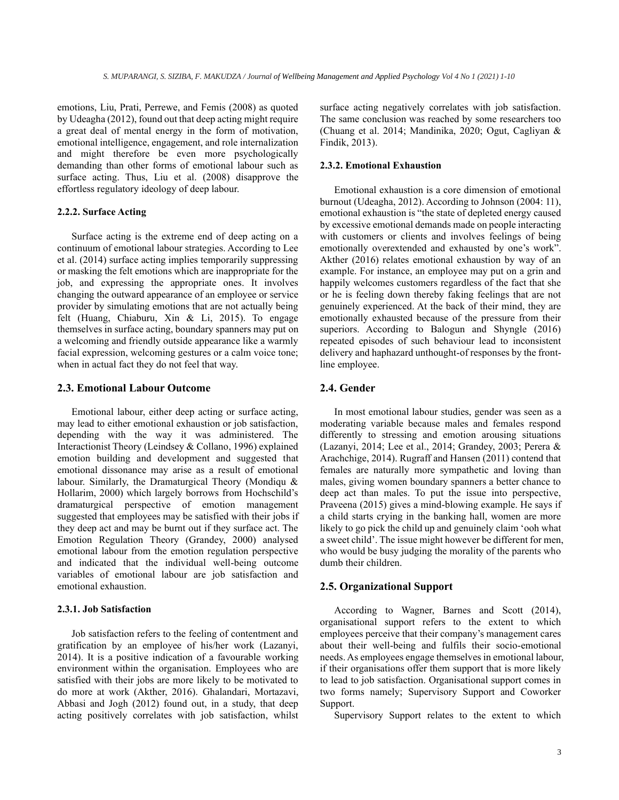emotions, Liu, Prati, Perrewe, and Femis (2008) as quoted by Udeagha (2012), found out that deep acting might require a great deal of mental energy in the form of motivation, emotional intelligence, engagement, and role internalization and might therefore be even more psychologically demanding than other forms of emotional labour such as surface acting. Thus, Liu et al. (2008) disapprove the effortless regulatory ideology of deep labour.

### **2.2.2. Surface Acting**

Surface acting is the extreme end of deep acting on a continuum of emotional labour strategies. According to Lee et al. (2014) surface acting implies temporarily suppressing or masking the felt emotions which are inappropriate for the job, and expressing the appropriate ones. It involves changing the outward appearance of an employee or service provider by simulating emotions that are not actually being felt (Huang, Chiaburu, Xin & Li, 2015). To engage themselves in surface acting, boundary spanners may put on a welcoming and friendly outside appearance like a warmly facial expression, welcoming gestures or a calm voice tone; when in actual fact they do not feel that way.

## **2.3. Emotional Labour Outcome**

Emotional labour, either deep acting or surface acting, may lead to either emotional exhaustion or job satisfaction, depending with the way it was administered. The Interactionist Theory (Leindsey & Collano, 1996) explained emotion building and development and suggested that emotional dissonance may arise as a result of emotional labour. Similarly, the Dramaturgical Theory (Mondiqu & Hollarim, 2000) which largely borrows from Hochschild's dramaturgical perspective of emotion management suggested that employees may be satisfied with their jobs if they deep act and may be burnt out if they surface act. The Emotion Regulation Theory (Grandey, 2000) analysed emotional labour from the emotion regulation perspective and indicated that the individual well-being outcome variables of emotional labour are job satisfaction and emotional exhaustion.

### **2.3.1. Job Satisfaction**

Job satisfaction refers to the feeling of contentment and gratification by an employee of his/her work (Lazanyi, 2014). It is a positive indication of a favourable working environment within the organisation. Employees who are satisfied with their jobs are more likely to be motivated to do more at work (Akther, 2016). Ghalandari, Mortazavi, Abbasi and Jogh (2012) found out, in a study, that deep acting positively correlates with job satisfaction, whilst surface acting negatively correlates with job satisfaction. The same conclusion was reached by some researchers too (Chuang et al. 2014; Mandinika, 2020; Ogut, Cagliyan & Findik, 2013).

## **2.3.2. Emotional Exhaustion**

Emotional exhaustion is a core dimension of emotional burnout (Udeagha, 2012). According to Johnson (2004: 11), emotional exhaustion is "the state of depleted energy caused by excessive emotional demands made on people interacting with customers or clients and involves feelings of being emotionally overextended and exhausted by one's work". Akther (2016) relates emotional exhaustion by way of an example. For instance, an employee may put on a grin and happily welcomes customers regardless of the fact that she or he is feeling down thereby faking feelings that are not genuinely experienced. At the back of their mind, they are emotionally exhausted because of the pressure from their superiors. According to Balogun and Shyngle (2016) repeated episodes of such behaviour lead to inconsistent delivery and haphazard unthought-of responses by the frontline employee.

## **2.4. Gender**

In most emotional labour studies, gender was seen as a moderating variable because males and females respond differently to stressing and emotion arousing situations (Lazanyi, 2014; Lee et al., 2014; Grandey, 2003; Perera & Arachchige, 2014). Rugraff and Hansen (2011) contend that females are naturally more sympathetic and loving than males, giving women boundary spanners a better chance to deep act than males. To put the issue into perspective, Praveena (2015) gives a mind-blowing example. He says if a child starts crying in the banking hall, women are more likely to go pick the child up and genuinely claim 'ooh what a sweet child'. The issue might however be different for men, who would be busy judging the morality of the parents who dumb their children.

#### **2.5. Organizational Support**

According to Wagner, Barnes and Scott (2014), organisational support refers to the extent to which employees perceive that their company's management cares about their well-being and fulfils their socio-emotional needs. As employees engage themselves in emotional labour, if their organisations offer them support that is more likely to lead to job satisfaction. Organisational support comes in two forms namely; Supervisory Support and Coworker Support.

Supervisory Support relates to the extent to which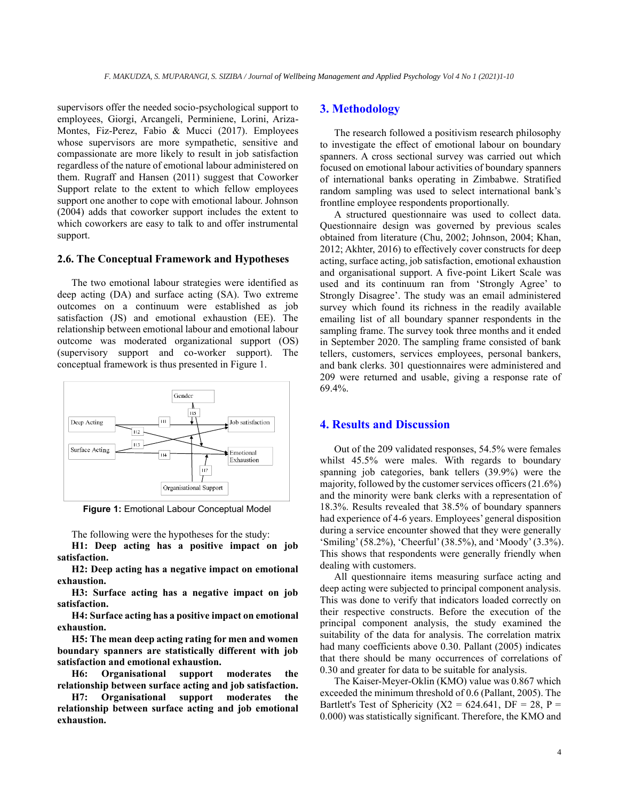supervisors offer the needed socio-psychological support to employees, Giorgi, Arcangeli, Perminiene, Lorini, Ariza-Montes, Fiz-Perez, Fabio & Mucci (2017). Employees whose supervisors are more sympathetic, sensitive and compassionate are more likely to result in job satisfaction regardless of the nature of emotional labour administered on them. Rugraff and Hansen (2011) suggest that Coworker Support relate to the extent to which fellow employees support one another to cope with emotional labour. Johnson (2004) adds that coworker support includes the extent to which coworkers are easy to talk to and offer instrumental support.

#### **2.6. The Conceptual Framework and Hypotheses**

The two emotional labour strategies were identified as deep acting (DA) and surface acting (SA). Two extreme outcomes on a continuum were established as job satisfaction (JS) and emotional exhaustion (EE). The relationship between emotional labour and emotional labour outcome was moderated organizational support (OS) (supervisory support and co-worker support). The conceptual framework is thus presented in Figure 1.



**Figure 1:** Emotional Labour Conceptual Model

The following were the hypotheses for the study:

**H1: Deep acting has a positive impact on job satisfaction.**

**H2: Deep acting has a negative impact on emotional exhaustion.**

**H3: Surface acting has a negative impact on job satisfaction.**

**H4: Surface acting has a positive impact on emotional exhaustion.**

**H5: The mean deep acting rating for men and women boundary spanners are statistically different with job satisfaction and emotional exhaustion.**

**H6: Organisational support moderates the relationship between surface acting and job satisfaction.**

**H7: Organisational support moderates the relationship between surface acting and job emotional exhaustion.**

## **3. Methodology**

The research followed a positivism research philosophy to investigate the effect of emotional labour on boundary spanners. A cross sectional survey was carried out which focused on emotional labour activities of boundary spanners of international banks operating in Zimbabwe. Stratified random sampling was used to select international bank's frontline employee respondents proportionally.

A structured questionnaire was used to collect data. Questionnaire design was governed by previous scales obtained from literature (Chu, 2002; Johnson, 2004; Khan, 2012; Akhter, 2016) to effectively cover constructs for deep acting, surface acting, job satisfaction, emotional exhaustion and organisational support. A five-point Likert Scale was used and its continuum ran from 'Strongly Agree' to Strongly Disagree'. The study was an email administered survey which found its richness in the readily available emailing list of all boundary spanner respondents in the sampling frame. The survey took three months and it ended in September 2020. The sampling frame consisted of bank tellers, customers, services employees, personal bankers, and bank clerks. 301 questionnaires were administered and 209 were returned and usable, giving a response rate of 69.4%.

## **4. Results and Discussion**

Out of the 209 validated responses, 54.5% were females whilst 45.5% were males. With regards to boundary spanning job categories, bank tellers (39.9%) were the majority, followed by the customer services officers (21.6%) and the minority were bank clerks with a representation of 18.3%. Results revealed that 38.5% of boundary spanners had experience of 4-6 years. Employees' general disposition during a service encounter showed that they were generally 'Smiling' (58.2%), 'Cheerful' (38.5%), and 'Moody' (3.3%). This shows that respondents were generally friendly when dealing with customers.

All questionnaire items measuring surface acting and deep acting were subjected to principal component analysis. This was done to verify that indicators loaded correctly on their respective constructs. Before the execution of the principal component analysis, the study examined the suitability of the data for analysis. The correlation matrix had many coefficients above 0.30. Pallant (2005) indicates that there should be many occurrences of correlations of 0.30 and greater for data to be suitable for analysis.

The Kaiser-Meyer-Oklin (KMO) value was 0.867 which exceeded the minimum threshold of 0.6 (Pallant, 2005). The Bartlett's Test of Sphericity ( $X2 = 624.641$ , DF = 28, P = 0.000) was statistically significant. Therefore, the KMO and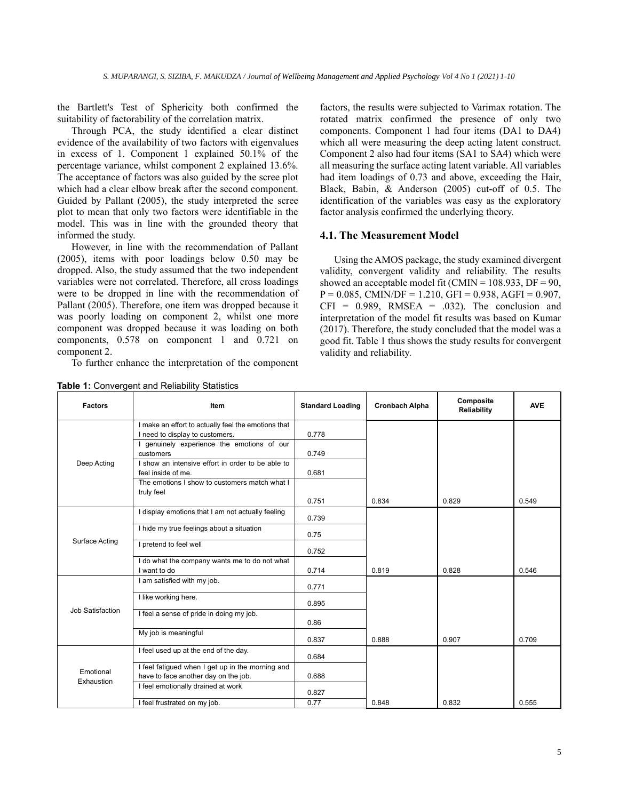the Bartlett's Test of Sphericity both confirmed the suitability of factorability of the correlation matrix.

Through PCA, the study identified a clear distinct evidence of the availability of two factors with eigenvalues in excess of 1. Component 1 explained 50.1% of the percentage variance, whilst component 2 explained 13.6%. The acceptance of factors was also guided by the scree plot which had a clear elbow break after the second component. Guided by Pallant (2005), the study interpreted the scree plot to mean that only two factors were identifiable in the model. This was in line with the grounded theory that informed the study.

However, in line with the recommendation of Pallant (2005), items with poor loadings below 0.50 may be dropped. Also, the study assumed that the two independent variables were not correlated. Therefore, all cross loadings were to be dropped in line with the recommendation of Pallant (2005). Therefore, one item was dropped because it was poorly loading on component 2, whilst one more component was dropped because it was loading on both components, 0.578 on component 1 and 0.721 on component 2.

To further enhance the interpretation of the component

**Factors Item Item Item Standard Loading Cronbach Alpha Composite Composite Reliability AVE** Deep Acting I make an effort to actually feel the emotions that I need to display to customers.  $\begin{array}{|c|c|c|c|c|c|c|c|c|} \hline \end{array}$  0.778 I genuinely experience the emotions of our customers 0.749 I show an intensive effort in order to be able to feel inside of me. 0.681 The emotions I show to customers match what I truly feel 0.751 0.834 0.829 0.549 Surface Acting I display emotions that I am not actually feeling 0.739 I hide my true feelings about a situation 0.75 I pretend to feel well 0.752 I do what the company wants me to do not what I want to do 0.714 0.819 0.828 0.546 Job Satisfaction I am satisfied with my job. 0.771 I like working here. 0.895 I feel a sense of pride in doing my job. 0.86 My job is meaningful 0.837 0.888 0.907 0.709 Emotional Exhaustion I feel used up at the end of the day. 0.684 I feel fatigued when I get up in the morning and have to face another day on the job. 10.688 I feel emotionally drained at work 0.827 I feel frustrated on my job. <br>
0.848 0.832 0.555

**Table 1:** Convergent and Reliability Statistics

factors, the results were subjected to Varimax rotation. The rotated matrix confirmed the presence of only two components. Component 1 had four items (DA1 to DA4) which all were measuring the deep acting latent construct. Component 2 also had four items (SA1 to SA4) which were all measuring the surface acting latent variable. All variables had item loadings of 0.73 and above, exceeding the Hair, Black, Babin, & Anderson (2005) cut-off of 0.5. The identification of the variables was easy as the exploratory factor analysis confirmed the underlying theory.

## **4.1. The Measurement Model**

Using the AMOS package, the study examined divergent validity, convergent validity and reliability. The results showed an acceptable model fit (CMIN =  $108.933$ , DF = 90,  $P = 0.085$ , CMIN/DF = 1.210, GFI = 0.938, AGFI = 0.907,  $CFI = 0.989$ , RMSEA = .032). The conclusion and interpretation of the model fit results was based on Kumar (2017). Therefore, the study concluded that the model was a good fit. Table 1 thus shows the study results for convergent validity and reliability.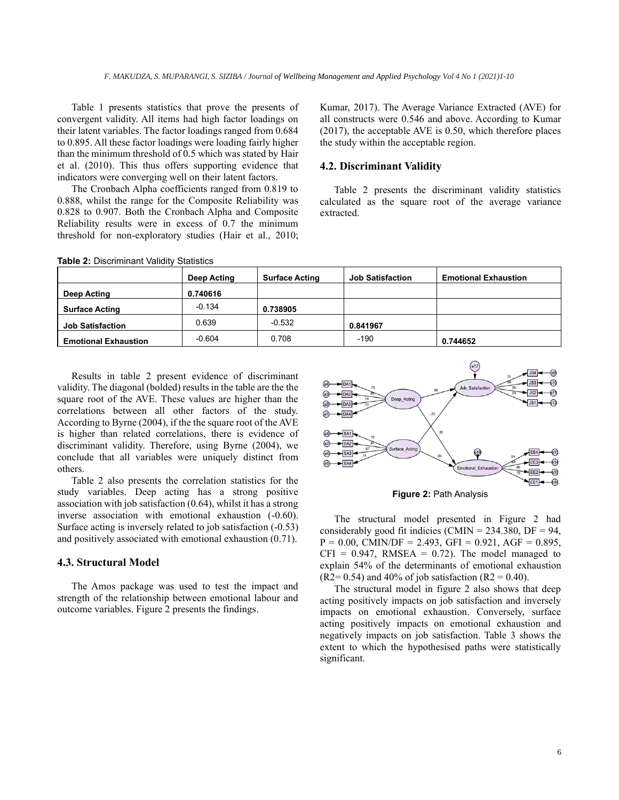Table 1 presents statistics that prove the presents of convergent validity. All items had high factor loadings on their latent variables. The factor loadings ranged from 0.684 to 0.895. All these factor loadings were loading fairly higher than the minimum threshold of 0.5 which was stated by Hair et al. (2010). This thus offers supporting evidence that indicators were converging well on their latent factors.

The Cronbach Alpha coefficients ranged from 0.819 to 0.888, whilst the range for the Composite Reliability was 0.828 to 0.907. Both the Cronbach Alpha and Composite Reliability results were in excess of 0.7 the minimum threshold for non-exploratory studies (Hair et al., 2010; Kumar, 2017). The Average Variance Extracted (AVE) for all constructs were 0.546 and above. According to Kumar (2017), the acceptable AVE is 0.50, which therefore places the study within the acceptable region.

## **4.2. Discriminant Validity**

Table 2 presents the discriminant validity statistics calculated as the square root of the average variance extracted.

| <b>Taple 4.</b> Discriminant validity otation of |             |                       |                         |                             |  |  |  |  |
|--------------------------------------------------|-------------|-----------------------|-------------------------|-----------------------------|--|--|--|--|
|                                                  | Deep Acting | <b>Surface Acting</b> | <b>Job Satisfaction</b> | <b>Emotional Exhaustion</b> |  |  |  |  |
| Deep Acting                                      | 0.740616    |                       |                         |                             |  |  |  |  |
| <b>Surface Acting</b>                            | $-0.134$    | 0.738905              |                         |                             |  |  |  |  |
| <b>Job Satisfaction</b>                          | 0.639       | $-0.532$              | 0.841967                |                             |  |  |  |  |
| <b>Emotional Exhaustion</b>                      | $-0.604$    | 0.708                 | $-190$                  | 0.744652                    |  |  |  |  |

**Table 2:** Discriminant Validity Statistics

Results in table 2 present evidence of discriminant validity. The diagonal (bolded) results in the table are the the square root of the AVE. These values are higher than the correlations between all other factors of the study. According to Byrne (2004), if the the square root of the AVE is higher than related correlations, there is evidence of discriminant validity. Therefore, using Byrne (2004), we conclude that all variables were uniquely distinct from others.

Table 2 also presents the correlation statistics for the study variables. Deep acting has a strong positive association with job satisfaction (0.64), whilst it has a strong inverse association with emotional exhaustion (-0.60). Surface acting is inversely related to job satisfaction (-0.53) and positively associated with emotional exhaustion (0.71).

#### **4.3. Structural Model**

The Amos package was used to test the impact and strength of the relationship between emotional labour and outcome variables. Figure 2 presents the findings.



**Figure 2:** Path Analysis

The structural model presented in Figure 2 had considerably good fit indicies (CMIN =  $234.380$ , DF = 94,  $P = 0.00$ , CMIN/DF = 2.493, GFI = 0.921, AGF = 0.895,  $CFI = 0.947$ , RMSEA = 0.72). The model managed to explain 54% of the determinants of emotional exhaustion  $(R2= 0.54)$  and 40% of job satisfaction  $(R2 = 0.40)$ .

The structural model in figure 2 also shows that deep acting positively impacts on job satisfaction and inversely impacts on emotional exhaustion. Conversely, surface acting positively impacts on emotional exhaustion and negatively impacts on job satisfaction. Table 3 shows the extent to which the hypothesised paths were statistically significant.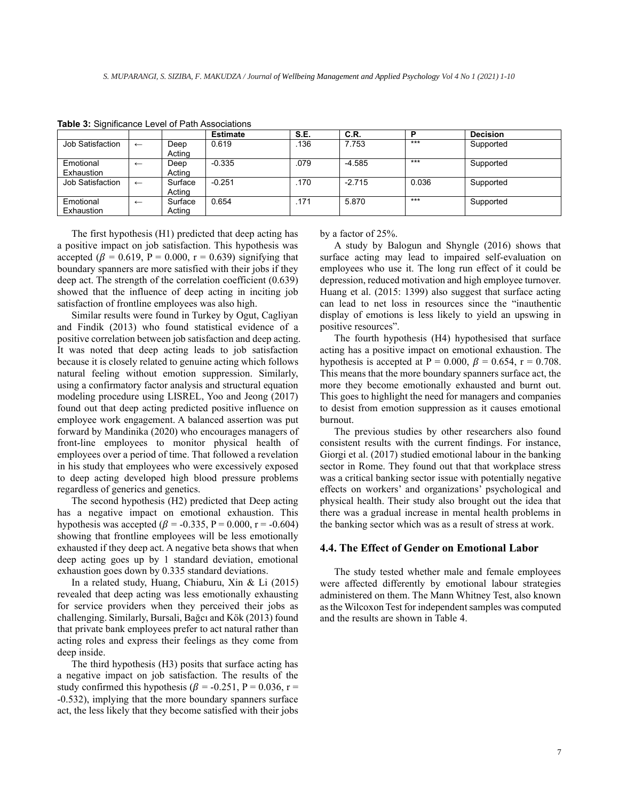|                  |              |         | <b>Estimate</b> | S.E. | C.R.     |       | <b>Decision</b> |
|------------------|--------------|---------|-----------------|------|----------|-------|-----------------|
| Job Satisfaction | $\leftarrow$ | Deep    | 0.619           | .136 | 7.753    | $***$ | Supported       |
|                  |              | Acting  |                 |      |          |       |                 |
| Emotional        | $\leftarrow$ | Deep    | $-0.335$        | .079 | $-4.585$ | $***$ | Supported       |
| Exhaustion       |              | Acting  |                 |      |          |       |                 |
| Job Satisfaction | $\leftarrow$ | Surface | $-0.251$        | .170 | $-2.715$ | 0.036 | Supported       |
|                  |              | Actina  |                 |      |          |       |                 |
| Emotional        | $\leftarrow$ | Surface | 0.654           | .171 | 5.870    | $***$ | Supported       |
| Exhaustion       |              | Acting  |                 |      |          |       |                 |

**Table 3:** Significance Level of Path Associations

The first hypothesis (H1) predicted that deep acting has a positive impact on job satisfaction. This hypothesis was accepted ( $\beta = 0.619$ , P = 0.000, r = 0.639) signifying that boundary spanners are more satisfied with their jobs if they deep act. The strength of the correlation coefficient (0.639) showed that the influence of deep acting in inciting job satisfaction of frontline employees was also high.

Similar results were found in Turkey by Ogut, Cagliyan and Findik (2013) who found statistical evidence of a positive correlation between job satisfaction and deep acting. It was noted that deep acting leads to job satisfaction because it is closely related to genuine acting which follows natural feeling without emotion suppression. Similarly, using a confirmatory factor analysis and structural equation modeling procedure using LISREL, Yoo and Jeong (2017) found out that deep acting predicted positive influence on employee work engagement. A balanced assertion was put forward by Mandinika (2020) who encourages managers of front-line employees to monitor physical health of employees over a period of time. That followed a revelation in his study that employees who were excessively exposed to deep acting developed high blood pressure problems regardless of generics and genetics.

The second hypothesis (H2) predicted that Deep acting has a negative impact on emotional exhaustion. This hypothesis was accepted ( $\beta$  = -0.335, P = 0.000, r = -0.604) showing that frontline employees will be less emotionally exhausted if they deep act. A negative beta shows that when deep acting goes up by 1 standard deviation, emotional exhaustion goes down by 0.335 standard deviations.

In a related study, Huang, Chiaburu, Xin & Li (2015) revealed that deep acting was less emotionally exhausting for service providers when they perceived their jobs as challenging. Similarly, Bursali, Bağcı and Kök (2013) found that private bank employees prefer to act natural rather than acting roles and express their feelings as they come from deep inside.

The third hypothesis (H3) posits that surface acting has a negative impact on job satisfaction. The results of the study confirmed this hypothesis ( $\beta$  = -0.251, P = 0.036, r = -0.532), implying that the more boundary spanners surface act, the less likely that they become satisfied with their jobs

by a factor of 25%.

A study by Balogun and Shyngle (2016) shows that surface acting may lead to impaired self-evaluation on employees who use it. The long run effect of it could be depression, reduced motivation and high employee turnover. Huang et al. (2015: 1399) also suggest that surface acting can lead to net loss in resources since the "inauthentic display of emotions is less likely to yield an upswing in positive resources".

The fourth hypothesis (H4) hypothesised that surface acting has a positive impact on emotional exhaustion. The hypothesis is accepted at P = 0.000,  $\beta$  = 0.654, r = 0.708. This means that the more boundary spanners surface act, the more they become emotionally exhausted and burnt out. This goes to highlight the need for managers and companies to desist from emotion suppression as it causes emotional burnout.

The previous studies by other researchers also found consistent results with the current findings. For instance, Giorgi et al. (2017) studied emotional labour in the banking sector in Rome. They found out that that workplace stress was a critical banking sector issue with potentially negative effects on workers' and organizations' psychological and physical health. Their study also brought out the idea that there was a gradual increase in mental health problems in the banking sector which was as a result of stress at work.

#### **4.4. The Effect of Gender on Emotional Labor**

The study tested whether male and female employees were affected differently by emotional labour strategies administered on them. The Mann Whitney Test, also known as the Wilcoxon Test for independent samples was computed and the results are shown in Table 4.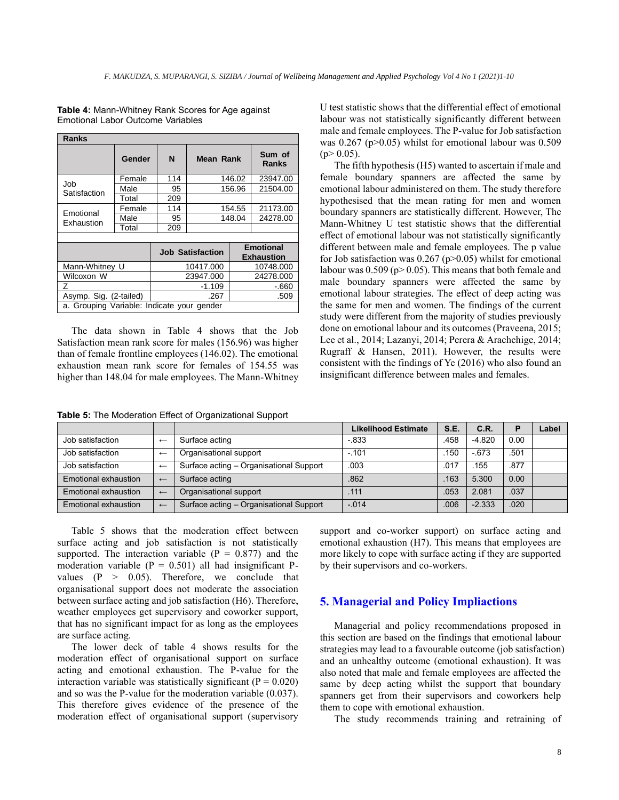**Table 4:** Mann-Whitney Rank Scores for Age against Emotional Labor Outcome Variables

| <b>Ranks</b>                               |        |     |                         |                                       |                 |  |  |
|--------------------------------------------|--------|-----|-------------------------|---------------------------------------|-----------------|--|--|
|                                            | Gender | N   | Mean Rank               |                                       | Sum of<br>Ranks |  |  |
| Job<br>Satisfaction                        | Female | 114 | 146.02                  |                                       | 23947.00        |  |  |
|                                            | Male   | 95  | 156.96                  |                                       | 21504.00        |  |  |
|                                            | Total  | 209 |                         |                                       |                 |  |  |
| Emotional<br>Exhaustion                    | Female | 114 |                         | 154.55                                | 21173.00        |  |  |
|                                            | Male   | 95  | 148.04                  |                                       | 24278.00        |  |  |
|                                            | Total  | 209 |                         |                                       |                 |  |  |
|                                            |        |     |                         |                                       |                 |  |  |
|                                            |        |     | <b>Job Satisfaction</b> | <b>Emotional</b><br><b>Exhaustion</b> |                 |  |  |
| Mann-Whitney U                             |        |     | 10417.000               | 10748.000                             |                 |  |  |
| Wilcoxon W                                 |        |     | 23947.000               | 24278.000                             |                 |  |  |
| 7                                          |        |     | $-1.109$                | -.660                                 |                 |  |  |
| Asymp. Sig. (2-tailed)                     |        |     | .267                    | .509                                  |                 |  |  |
| a. Grouping Variable: Indicate your gender |        |     |                         |                                       |                 |  |  |

The data shown in Table 4 shows that the Job Satisfaction mean rank score for males (156.96) was higher than of female frontline employees (146.02). The emotional exhaustion mean rank score for females of 154.55 was higher than 148.04 for male employees. The Mann-Whitney

**Table 5:** The Moderation Effect of Organizational Support

U test statistic shows that the differential effect of emotional labour was not statistically significantly different between male and female employees. The P-value for Job satisfaction was 0.267 (p>0.05) whilst for emotional labour was 0.509  $(p>0.05)$ .

The fifth hypothesis (H5) wanted to ascertain if male and female boundary spanners are affected the same by emotional labour administered on them. The study therefore hypothesised that the mean rating for men and women boundary spanners are statistically different. However, The Mann-Whitney U test statistic shows that the differential effect of emotional labour was not statistically significantly different between male and female employees. The p value for Job satisfaction was  $0.267$  (p $>0.05$ ) whilst for emotional labour was  $0.509$  (p>  $0.05$ ). This means that both female and male boundary spanners were affected the same by emotional labour strategies. The effect of deep acting was the same for men and women. The findings of the current study were different from the majority of studies previously done on emotional labour and its outcomes (Praveena, 2015; Lee et al., 2014; Lazanyi, 2014; Perera & Arachchige, 2014; Rugraff & Hansen, 2011). However, the results were consistent with the findings of Ye (2016) who also found an insignificant difference between males and females.

|                      |              |                                         | <b>Likelihood Estimate</b> | S.E. | C.R.     | P    | Label |
|----------------------|--------------|-----------------------------------------|----------------------------|------|----------|------|-------|
| Job satisfaction     | $\leftarrow$ | Surface acting                          | $-833$                     | .458 | $-4.820$ | 0.00 |       |
| Job satisfaction     | $\leftarrow$ | Organisational support                  | $-.101$                    | .150 | $-673$   | .501 |       |
| Job satisfaction     | $\leftarrow$ | Surface acting - Organisational Support | .003                       | .017 | .155     | 877  |       |
| Emotional exhaustion | $\leftarrow$ | Surface acting                          | .862                       | .163 | 5.300    | 0.00 |       |
| Emotional exhaustion | $\leftarrow$ | Organisational support                  | .111                       | .053 | 2.081    | 037  |       |
| Emotional exhaustion | $\leftarrow$ | Surface acting - Organisational Support | $-.014$                    | .006 | $-2.333$ | 020  |       |

Table 5 shows that the moderation effect between surface acting and job satisfaction is not statistically supported. The interaction variable  $(P = 0.877)$  and the moderation variable ( $P = 0.501$ ) all had insignificant Pvalues  $(P > 0.05)$ . Therefore, we conclude that organisational support does not moderate the association between surface acting and job satisfaction (H6). Therefore, weather employees get supervisory and coworker support, that has no significant impact for as long as the employees are surface acting.

The lower deck of table 4 shows results for the moderation effect of organisational support on surface acting and emotional exhaustion. The P-value for the interaction variable was statistically significant ( $P = 0.020$ ) and so was the P-value for the moderation variable (0.037). This therefore gives evidence of the presence of the moderation effect of organisational support (supervisory support and co-worker support) on surface acting and emotional exhaustion (H7). This means that employees are more likely to cope with surface acting if they are supported by their supervisors and co-workers.

## **5. Managerial and Policy Impliactions**

Managerial and policy recommendations proposed in this section are based on the findings that emotional labour strategies may lead to a favourable outcome (job satisfaction) and an unhealthy outcome (emotional exhaustion). It was also noted that male and female employees are affected the same by deep acting whilst the support that boundary spanners get from their supervisors and coworkers help them to cope with emotional exhaustion.

The study recommends training and retraining of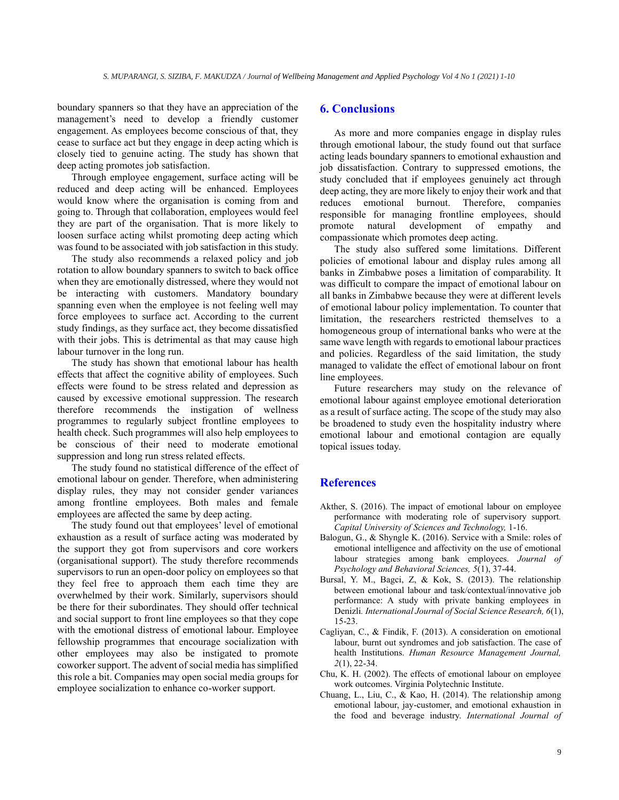boundary spanners so that they have an appreciation of the management's need to develop a friendly customer engagement. As employees become conscious of that, they cease to surface act but they engage in deep acting which is closely tied to genuine acting. The study has shown that deep acting promotes job satisfaction.

Through employee engagement, surface acting will be reduced and deep acting will be enhanced. Employees would know where the organisation is coming from and going to. Through that collaboration, employees would feel they are part of the organisation. That is more likely to loosen surface acting whilst promoting deep acting which was found to be associated with job satisfaction in this study.

The study also recommends a relaxed policy and job rotation to allow boundary spanners to switch to back office when they are emotionally distressed, where they would not be interacting with customers. Mandatory boundary spanning even when the employee is not feeling well may force employees to surface act. According to the current study findings, as they surface act, they become dissatisfied with their jobs. This is detrimental as that may cause high labour turnover in the long run.

The study has shown that emotional labour has health effects that affect the cognitive ability of employees. Such effects were found to be stress related and depression as caused by excessive emotional suppression. The research therefore recommends the instigation of wellness programmes to regularly subject frontline employees to health check. Such programmes will also help employees to be conscious of their need to moderate emotional suppression and long run stress related effects.

The study found no statistical difference of the effect of emotional labour on gender. Therefore, when administering display rules, they may not consider gender variances among frontline employees. Both males and female employees are affected the same by deep acting.

The study found out that employees' level of emotional exhaustion as a result of surface acting was moderated by the support they got from supervisors and core workers (organisational support). The study therefore recommends supervisors to run an open-door policy on employees so that they feel free to approach them each time they are overwhelmed by their work. Similarly, supervisors should be there for their subordinates. They should offer technical and social support to front line employees so that they cope with the emotional distress of emotional labour. Employee fellowship programmes that encourage socialization with other employees may also be instigated to promote coworker support. The advent of social media has simplified this role a bit. Companies may open social media groups for employee socialization to enhance co-worker support.

## **6. Conclusions**

As more and more companies engage in display rules through emotional labour, the study found out that surface acting leads boundary spanners to emotional exhaustion and job dissatisfaction. Contrary to suppressed emotions, the study concluded that if employees genuinely act through deep acting, they are more likely to enjoy their work and that reduces emotional burnout. Therefore, companies responsible for managing frontline employees, should promote natural development of empathy and compassionate which promotes deep acting.

The study also suffered some limitations. Different policies of emotional labour and display rules among all banks in Zimbabwe poses a limitation of comparability. It was difficult to compare the impact of emotional labour on all banks in Zimbabwe because they were at different levels of emotional labour policy implementation. To counter that limitation, the researchers restricted themselves to a homogeneous group of international banks who were at the same wave length with regards to emotional labour practices and policies. Regardless of the said limitation, the study managed to validate the effect of emotional labour on front line employees.

Future researchers may study on the relevance of emotional labour against employee emotional deterioration as a result of surface acting. The scope of the study may also be broadened to study even the hospitality industry where emotional labour and emotional contagion are equally topical issues today.

## **References**

- Akther, S. (2016). The impact of emotional labour on employee performance with moderating role of supervisory support*. Capital University of Sciences and Technology,* 1-16.
- Balogun, G., & Shyngle K. (2016). Service with a Smile: roles of emotional intelligence and affectivity on the use of emotional labour strategies among bank employees. *Journal of Psychology and Behavioral Sciences, 5*(1), 37-44.
- Bursal, Y. M., Bagci, Z, & Kok, S. (2013). The relationship between emotional labour and task/contextual/innovative job performance: A study with private banking employees in Denizli*. International Journal of Social Science Research, 6*(1), 15-23.
- Cagliyan, C., & Findik, F. (2013). A consideration on emotional labour, burnt out syndromes and job satisfaction. The case of health Institutions. *Human Resource Management Journal, 2*(1), 22-34.
- Chu, K. H. (2002). The effects of emotional labour on employee work outcomes. Virginia Polytechnic Institute.
- Chuang, L., Liu, C., & Kao, H. (2014). The relationship among emotional labour, jay-customer, and emotional exhaustion in the food and beverage industry. *International Journal of*